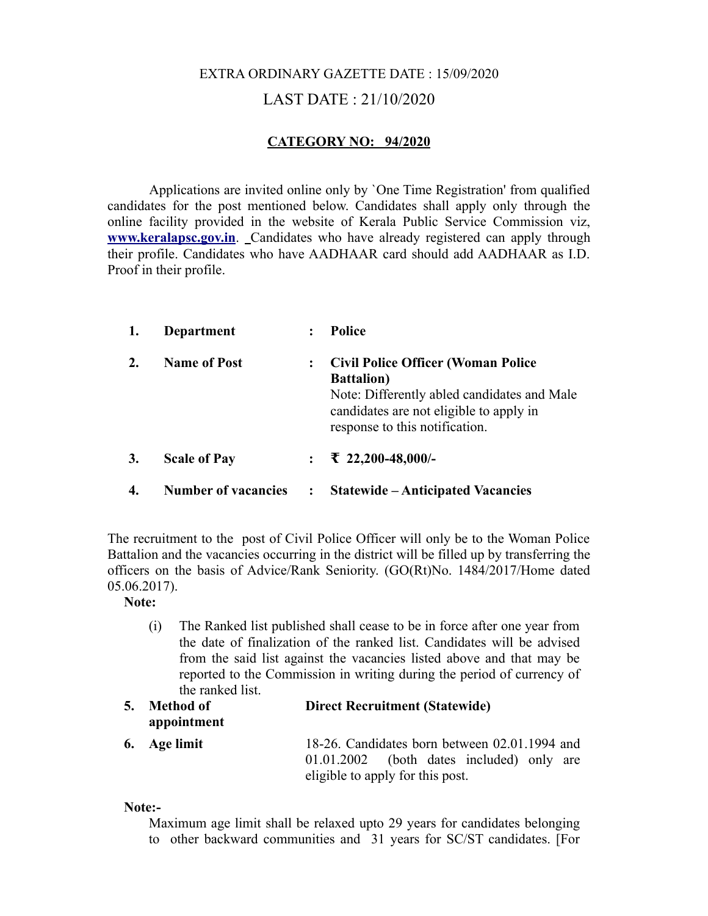# EXTRA ORDINARY GAZETTE DATE : 15/09/2020 LAST DATE : 21/10/2020

## **CATEGORY NO: 94/2020**

Applications are invited online only by `One Time Registration' from qualified candidates for the post mentioned below. Candidates shall apply only through the online facility provided in the website of Kerala Public Service Commission viz, **[www.keralapsc.gov.in](http://www.keralapsc.gov.in/)**. Candidates who have already registered can apply through their profile. Candidates who have AADHAAR card should add AADHAAR as I.D. Proof in their profile.

| 1. | Department                 | :              | Police                                                                                                                                                                                      |
|----|----------------------------|----------------|---------------------------------------------------------------------------------------------------------------------------------------------------------------------------------------------|
| 2. | <b>Name of Post</b>        | $\ddot{\cdot}$ | <b>Civil Police Officer (Woman Police</b><br><b>Battalion</b> )<br>Note: Differently abled candidates and Male<br>candidates are not eligible to apply in<br>response to this notification. |
| 3. | <b>Scale of Pay</b>        |                | $\div$ ₹ 22,200-48,000/-                                                                                                                                                                    |
| 4. | <b>Number of vacancies</b> | $\ddot{\cdot}$ | <b>Statewide – Anticipated Vacancies</b>                                                                                                                                                    |

The recruitment to the post of Civil Police Officer will only be to the Woman Police Battalion and the vacancies occurring in the district will be filled up by transferring the officers on the basis of Advice/Rank Seniority. (GO(Rt)No. 1484/2017/Home dated 05.06.2017).

**Note:** 

- (i) The Ranked list published shall cease to be in force after one year from the date of finalization of the ranked list. Candidates will be advised from the said list against the vacancies listed above and that may be reported to the Commission in writing during the period of currency of the ranked list.
- **5. Method of appointment Direct Recruitment (Statewide)**
- **6. Age limit** 18-26. Candidates born between 02.01.1994 and 01.01.2002 (both dates included) only are eligible to apply for this post.

**Note:-**

Maximum age limit shall be relaxed upto 29 years for candidates belonging to other backward communities and 31 years for SC/ST candidates. [For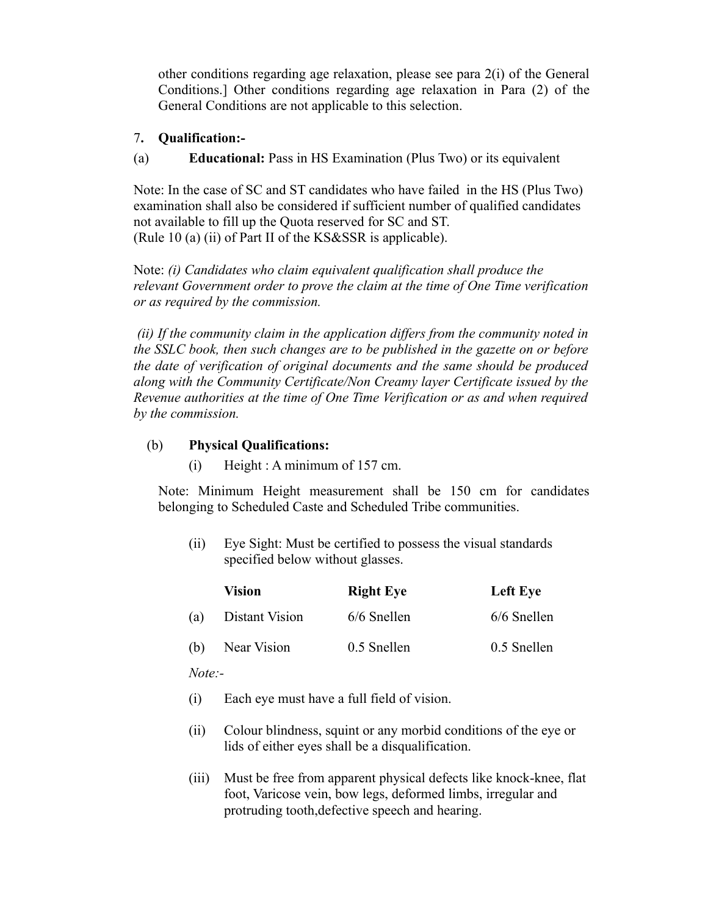other conditions regarding age relaxation, please see para 2(i) of the General Conditions.] Other conditions regarding age relaxation in Para (2) of the General Conditions are not applicable to this selection.

## 7**. Qualification:-**

(a) **Educational:** Pass in HS Examination (Plus Two) or its equivalent

Note: In the case of SC and ST candidates who have failed in the HS (Plus Two) examination shall also be considered if sufficient number of qualified candidates not available to fill up the Quota reserved for SC and ST. (Rule 10 (a) (ii) of Part II of the KS&SSR is applicable).

Note: *(i) Candidates who claim equivalent qualification shall produce the relevant Government order to prove the claim at the time of One Time verification or as required by the commission.*

 *(ii) If the community claim in the application differs from the community noted in the SSLC book, then such changes are to be published in the gazette on or before the date of verification of original documents and the same should be produced along with the Community Certificate/Non Creamy layer Certificate issued by the Revenue authorities at the time of One Time Verification or as and when required by the commission.*

## (b) **Physical Qualifications:**

(i) Height : A minimum of 157 cm.

Note: Minimum Height measurement shall be 150 cm for candidates belonging to Scheduled Caste and Scheduled Tribe communities.

(ii) Eye Sight: Must be certified to possess the visual standards specified below without glasses.

|     | <b>Vision</b>  | <b>Right Eye</b> | Left Eye    |
|-----|----------------|------------------|-------------|
| (a) | Distant Vision | 6/6 Snellen      | 6/6 Snellen |
| (b) | Near Vision    | 0.5 Snellen      | 0.5 Snellen |

*Note:-*

- (i) Each eye must have a full field of vision.
- (ii) Colour blindness, squint or any morbid conditions of the eye or lids of either eyes shall be a disqualification.
- (iii) Must be free from apparent physical defects like knock-knee, flat foot, Varicose vein, bow legs, deformed limbs, irregular and protruding tooth,defective speech and hearing.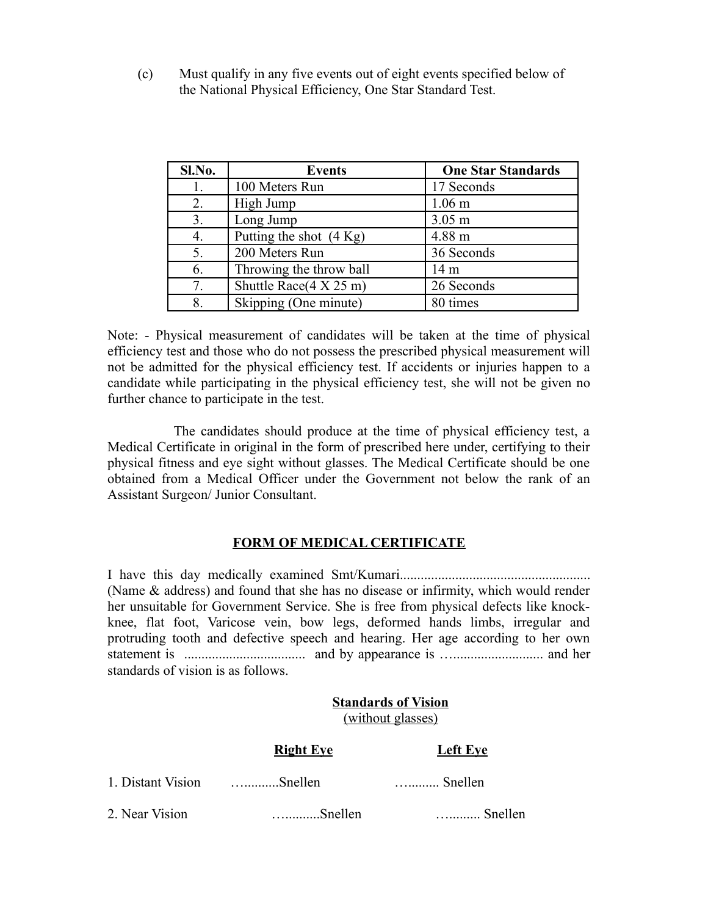(c) Must qualify in any five events out of eight events specified below of the National Physical Efficiency, One Star Standard Test.

| Sl.No. | <b>Events</b>                          | <b>One Star Standards</b> |
|--------|----------------------------------------|---------------------------|
| 1.     | 100 Meters Run                         | 17 Seconds                |
| 2.     | High Jump                              | 1.06 <sub>m</sub>         |
| 3.     | Long Jump                              | $3.05$ m                  |
| 4.     | Putting the shot $(4 \text{ Kg})$      | 4.88 m                    |
| 5.     | 200 Meters Run                         | 36 Seconds                |
| 6.     | Throwing the throw ball                | 14 <sub>m</sub>           |
| 7.     | Shuttle Race $(4 \times 25 \text{ m})$ | 26 Seconds                |
| 8.     | Skipping (One minute)                  | 80 times                  |

Note: - Physical measurement of candidates will be taken at the time of physical efficiency test and those who do not possess the prescribed physical measurement will not be admitted for the physical efficiency test. If accidents or injuries happen to a candidate while participating in the physical efficiency test, she will not be given no further chance to participate in the test.

 The candidates should produce at the time of physical efficiency test, a Medical Certificate in original in the form of prescribed here under, certifying to their physical fitness and eye sight without glasses. The Medical Certificate should be one obtained from a Medical Officer under the Government not below the rank of an Assistant Surgeon/ Junior Consultant.

# **FORM OF MEDICAL CERTIFICATE**

I have this day medically examined Smt/Kumari....................................................... (Name & address) and found that she has no disease or infirmity, which would render her unsuitable for Government Service. She is free from physical defects like knockknee, flat foot, Varicose vein, bow legs, deformed hands limbs, irregular and protruding tooth and defective speech and hearing. Her age according to her own statement is ................................... and by appearance is ….......................... and her standards of vision is as follows.

#### **Standards of Vision** (without glasses)

|                   | <b>Right Eye</b> | <b>Left Eye</b>  |
|-------------------|------------------|------------------|
| 1. Distant Vision | $\dots$ Snellen  | $\ldots$ Snellen |
| 2. Near Vision    | - Snellen        | <b>S</b> nellen  |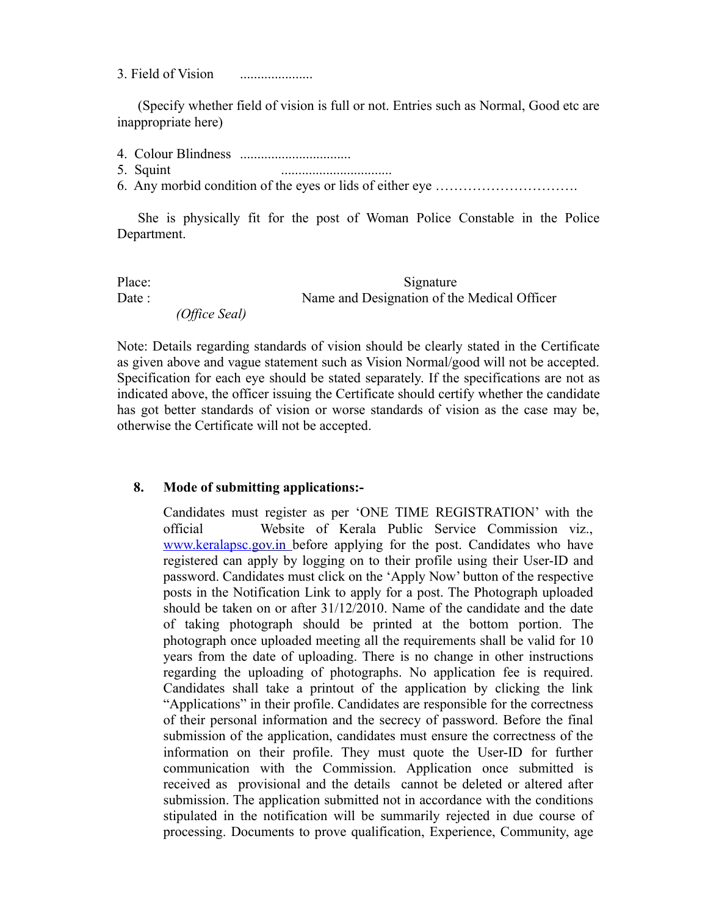3. Field of Vision .....................

(Specify whether field of vision is full or not. Entries such as Normal, Good etc are inappropriate here)

- 4. Colour Blindness ................................
- 5. Squint ................................
- 6. Any morbid condition of the eyes or lids of either eye ………………………….

She is physically fit for the post of Woman Police Constable in the Police Department.

Place: Signature Date : Name and Designation of the Medical Officer  *(Office Seal)*

Note: Details regarding standards of vision should be clearly stated in the Certificate as given above and vague statement such as Vision Normal/good will not be accepted. Specification for each eye should be stated separately. If the specifications are not as indicated above, the officer issuing the Certificate should certify whether the candidate has got better standards of vision or worse standards of vision as the case may be, otherwise the Certificate will not be accepted.

#### **8. Mode of submitting applications:-**

Candidates must register as per 'ONE TIME REGISTRATION' with the official Website of Kerala Public Service Commission viz.,  [www.keralapsc.g](http://www.keralapsc.org/)ov.in before applying for the post. Candidates who have registered can apply by logging on to their profile using their User-ID and password. Candidates must click on the 'Apply Now' button of the respective posts in the Notification Link to apply for a post. The Photograph uploaded should be taken on or after 31/12/2010. Name of the candidate and the date of taking photograph should be printed at the bottom portion. The photograph once uploaded meeting all the requirements shall be valid for 10 years from the date of uploading. There is no change in other instructions regarding the uploading of photographs. No application fee is required. Candidates shall take a printout of the application by clicking the link "Applications" in their profile. Candidates are responsible for the correctness of their personal information and the secrecy of password. Before the final submission of the application, candidates must ensure the correctness of the information on their profile. They must quote the User-ID for further communication with the Commission. Application once submitted is received as provisional and the details cannot be deleted or altered after submission. The application submitted not in accordance with the conditions stipulated in the notification will be summarily rejected in due course of processing. Documents to prove qualification, Experience, Community, age